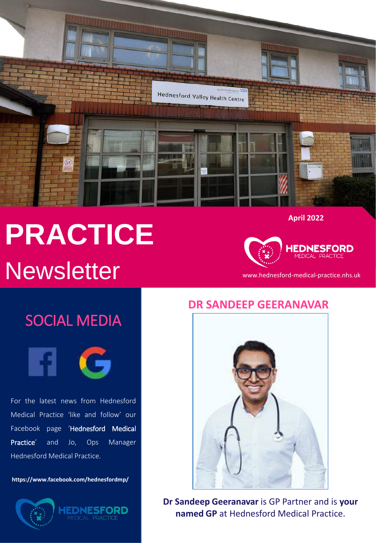

# **PRACTICE** Newsletter www.hednesford-medical-practice.nhs.uk

**April 2022**



# SOCIAL MEDIA



For the latest news from Hednesford Medical Practice 'like and follow' our Facebook page 'Hednesford Medical Practice' and Jo, Ops Manager Hednesford Medical Practice.

**https://www.facebook.com/hednesfordmp/**





### **DR SANDEEP GEERANAVAR**



**Dr Sandeep Geeranavar** is GP Partner and is **your named GP** at Hednesford Medical Practice.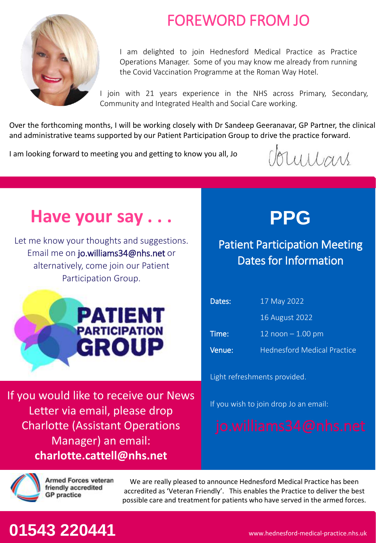

## FOREWORD FROM JO

I am delighted to join Hednesford Medical Practice as Practice Operations Manager. Some of you may know me already from running the Covid Vaccination Programme at the Roman Way Hotel.

I join with 21 years experience in the NHS across Primary, Secondary, Community and Integrated Health and Social Care working.

Over the forthcoming months, I will be working closely with Dr Sandeep Geeranavar, GP Partner, the clinical and administrative teams supported by our Patient Participation Group to drive the practice forward.

I am looking forward to meeting you and getting to know you all, Jo

Voumars

# **Have your say . . .**

Let me know your thoughts and suggestions. Email me on jo.williams34@nhs.net or alternatively, come join our Patient Participation Group.



If you would like to receive our News Letter via email, please drop Charlotte (Assistant Operations Manager) an email: **charlotte.cattell@nhs.net**



### Patient Participation Meeting Dates for Information

| Dates: | 17 May 2022                        |
|--------|------------------------------------|
|        | 16 August 2022                     |
| Time:  | 12 $n$ oon $-1.00$ pm              |
| Venue: | <b>Hednesford Medical Practice</b> |

Light refreshments provided.

If you wish to join drop Jo an email:



Armed Forces veteran friendly accredited **GP** practice

We are really pleased to announce Hednesford Medical Practice has been accredited as 'Veteran Friendly'. This enables the Practice to deliver the best possible care and treatment for patients who have served in the armed forces.

# **01543 220441**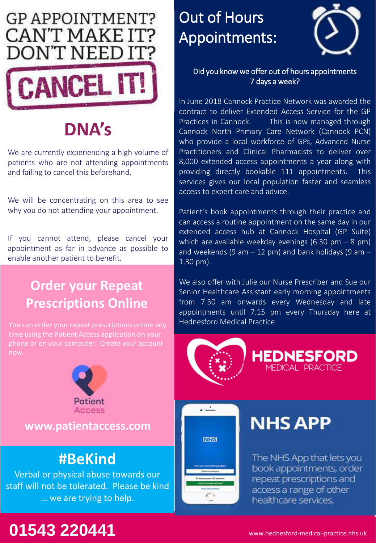

# **DNA's**

We are currently experiencing a high volume of patients who are not attending appointments and failing to cancel this beforehand.

We will be concentrating on this area to see why you do not attending your appointment.

If you cannot attend, please cancel your appointment as far in advance as possible to enable another patient to benefit.

### **Order your Repeat Prescriptions Online**

time using the Patient Access application on your now.



**www.patientaccess.com**

### **#BeKind**

Verbal or physical abuse towards our staff will not be tolerated. Please be kind … we are trying to help.

# Out of Hours Appointments:



### Did you know we offer out of hours appointments 7 days a week?

In June 2018 Cannock Practice Network was awarded the contract to deliver Extended Access Service for the GP Practices in Cannock. This is now managed through Cannock North Primary Care Network (Cannock PCN) who provide a local workforce of GPs, Advanced Nurse Practitioners and Clinical Pharmacists to deliver over 8,000 extended access appointments a year along with providing directly bookable 111 appointments. This services gives our local population faster and seamless access to expert care and advice.

Patient's book appointments through their practice and can access a routine appointment on the same day in our extended access hub at Cannock Hospital (GP Suite) which are available weekday evenings  $(6.30 \text{ pm} - 8 \text{ pm})$ and weekends (9 am  $-$  12 pm) and bank holidays (9 am  $-$ 1.30 pm).

We also offer with Julie our Nurse Prescriber and Sue our Senior Healthcare Assistant early morning appointments from 7.30 am onwards every Wednesday and late appointments until 7.15 pm every Thursday here at Hednesford Medical Practice.



 $\overline{\phantom{a}}$ 

**MHS** 

**NHS APP** 

The NHS App that lets you book appointments, order repeat prescriptions and access a range of other healthcare services.

# **01543 220441** www.hednesford-medical-practice.nhs.uk